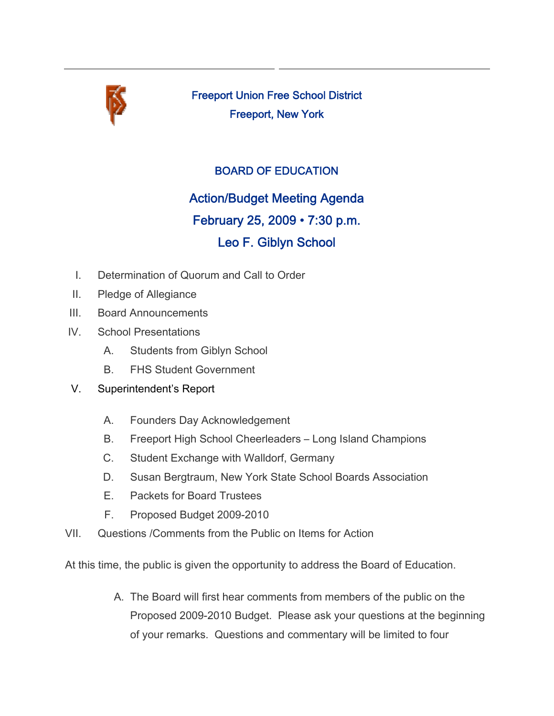

Freeport Union Free School District Freeport, New York

## BOARD OF EDUCATION

# Action/Budget Meeting Agenda

## February 25, 2009 • 7:30 p.m.

## Leo F. Giblyn School

- I. Determination of Quorum and Call to Order
- II. Pledge of Allegiance
- III. Board Announcements
- IV. School Presentations
	- A. Students from Giblyn School
	- B. FHS Student Government
- V. Superintendent's Report
	- A. Founders Day Acknowledgement
	- B. Freeport High School Cheerleaders Long Island Champions
	- C. Student Exchange with Walldorf, Germany
	- D. Susan Bergtraum, New York State School Boards Association
	- E. Packets for Board Trustees
	- F. Proposed Budget 2009-2010
- VII. Questions /Comments from the Public on Items for Action

At this time, the public is given the opportunity to address the Board of Education.

A. The Board will first hear comments from members of the public on the Proposed 2009-2010 Budget. Please ask your questions at the beginning of your remarks. Questions and commentary will be limited to four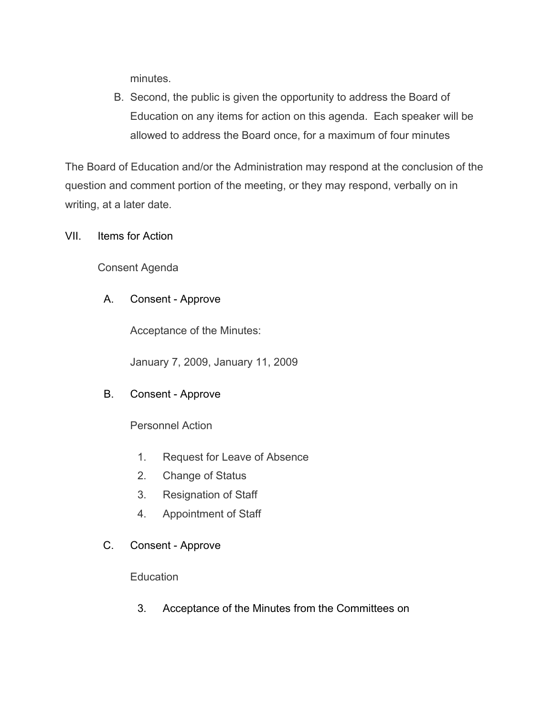minutes.

B. Second, the public is given the opportunity to address the Board of Education on any items for action on this agenda. Each speaker will be allowed to address the Board once, for a maximum of four minutes

The Board of Education and/or the Administration may respond at the conclusion of the question and comment portion of the meeting, or they may respond, verbally on in writing, at a later date.

VII. Items for Action

Consent Agenda

#### A. Consent - Approve

Acceptance of the Minutes:

January 7, 2009, January 11, 2009

#### B. Consent - Approve

Personnel Action

- 1. Request for Leave of Absence
- 2. Change of Status
- 3. Resignation of Staff
- 4. Appointment of Staff
- C. Consent Approve

**Education** 

3. Acceptance of the Minutes from the Committees on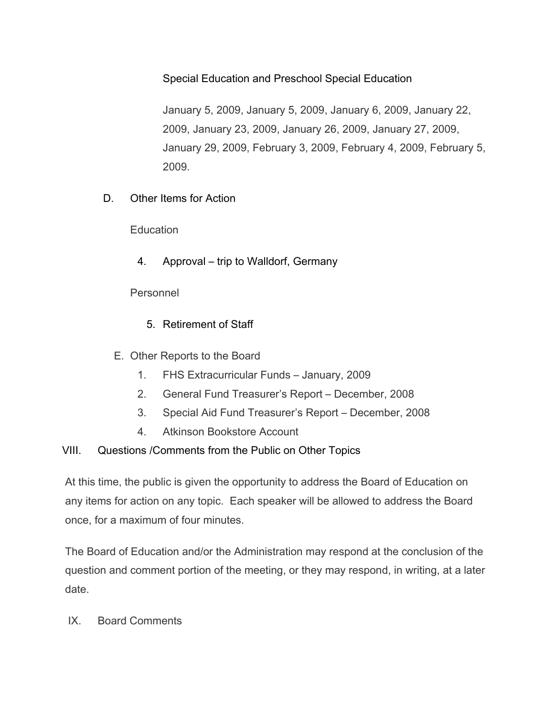Special Education and Preschool Special Education

January 5, 2009, January 5, 2009, January 6, 2009, January 22, 2009, January 23, 2009, January 26, 2009, January 27, 2009, January 29, 2009, February 3, 2009, February 4, 2009, February 5, 2009.

D. Other Items for Action

**Education** 

4. Approval – trip to Walldorf, Germany

Personnel

- 5. Retirement of Staff
- E. Other Reports to the Board
	- 1. FHS Extracurricular Funds January, 2009
	- 2. General Fund Treasurer's Report December, 2008
	- 3. Special Aid Fund Treasurer's Report December, 2008
	- 4. Atkinson Bookstore Account

### VIII. Questions /Comments from the Public on Other Topics

At this time, the public is given the opportunity to address the Board of Education on any items for action on any topic. Each speaker will be allowed to address the Board once, for a maximum of four minutes.

The Board of Education and/or the Administration may respond at the conclusion of the question and comment portion of the meeting, or they may respond, in writing, at a later date.

### IX. Board Comments